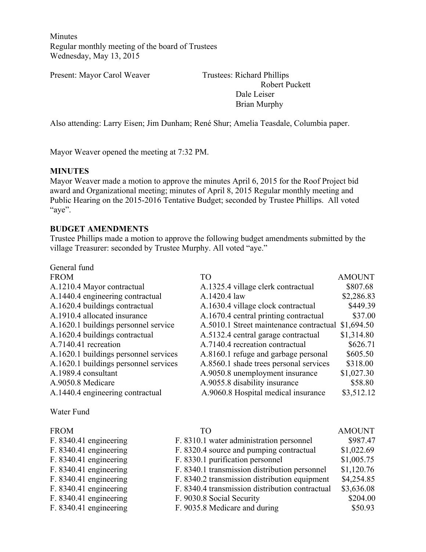Minutes Regular monthly meeting of the board of Trustees Wednesday, May 13, 2015

Present: Mayor Carol Weaver Trustees: Richard Phillips

 Robert Puckett Dale Leiser Brian Murphy

Also attending: Larry Eisen; Jim Dunham; René Shur; Amelia Teasdale, Columbia paper.

Mayor Weaver opened the meeting at 7:32 PM.

#### **MINUTES**

Mayor Weaver made a motion to approve the minutes April 6, 2015 for the Roof Project bid award and Organizational meeting; minutes of April 8, 2015 Regular monthly meeting and Public Hearing on the 2015-2016 Tentative Budget; seconded by Trustee Phillips. All voted "aye".

#### **BUDGET AMENDMENTS**

Trustee Phillips made a motion to approve the following budget amendments submitted by the village Treasurer: seconded by Trustee Murphy. All voted "aye."

| General fund                                                                    |               |
|---------------------------------------------------------------------------------|---------------|
| <b>FROM</b><br>TO <sub>1</sub>                                                  | <b>AMOUNT</b> |
| A.1210.4 Mayor contractual<br>A.1325.4 village clerk contractual                | \$807.68      |
| A.1440.4 engineering contractual<br>A.1420.4 law                                | \$2,286.83    |
| A.1620.4 buildings contractual<br>A.1630.4 village clock contractual            | \$449.39      |
| A.1910.4 allocated insurance<br>A.1670.4 central printing contractual           | \$37.00       |
| A.5010.1 Street maintenance contractual<br>A.1620.1 buildings personnel service | \$1,694.50    |
| A.1620.4 buildings contractual<br>A.5132.4 central garage contractual           | \$1,314.80    |
| A.7140.4 recreation contractual<br>A.7140.41 recreation                         | \$626.71      |
| A.1620.1 buildings personnel services<br>A.8160.1 refuge and garbage personal   | \$605.50      |
| A.1620.1 buildings personnel services<br>A.8560.1 shade trees personal services | \$318.00      |
| A.1989.4 consultant<br>A.9050.8 unemployment insurance                          | \$1,027.30    |
| A.9055.8 disability insurance<br>A.9050.8 Medicare                              | \$58.80       |
| A.9060.8 Hospital medical insurance<br>A.1440.4 engineering contractual         | \$3,512.12    |

#### Water Fund

| <b>FROM</b> |                          |
|-------------|--------------------------|
|             | $F. 8340.41$ engineering |

| <b>FROM</b>            | TΟ                                              | <b>AMOUNT</b> |
|------------------------|-------------------------------------------------|---------------|
| F. 8340.41 engineering | F. 8310.1 water administration personnel        | \$987.47      |
| F. 8340.41 engineering | F. 8320.4 source and pumping contractual        | \$1,022.69    |
| F. 8340.41 engineering | F. 8330.1 purification personnel                | \$1,005.75    |
| F. 8340.41 engineering | F. 8340.1 transmission distribution personnel   | \$1,120.76    |
| F. 8340.41 engineering | F. 8340.2 transmission distribution equipment   | \$4,254.85    |
| F. 8340.41 engineering | F. 8340.4 transmission distribution contractual | \$3,636.08    |
| F. 8340.41 engineering | F. 9030.8 Social Security                       | \$204.00      |
| F. 8340.41 engineering | F. 9035.8 Medicare and during                   | \$50.93       |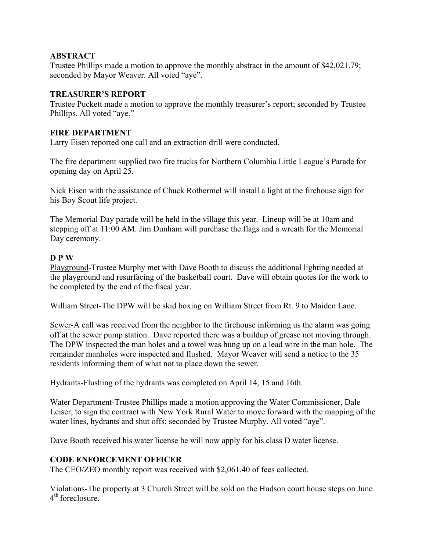# **ABSTRACT**

Trustee Phillips made a motion to approve the monthly abstract in the amount of \$42,021.79; seconded by Mayor Weaver. All voted "aye".

# **TREASURER'S REPORT**

Trustee Puckett made a motion to approve the monthly treasurer's report; seconded by Trustee Phillips. All voted "aye."

#### **FIRE DEPARTMENT**

Larry Eisen reported one call and an extraction drill were conducted.

The fire department supplied two fire trucks for Northern Columbia Little League's Parade for opening day on April 25.

Nick Eisen with the assistance of Chuck Rothermel will install a light at the firehouse sign for his Boy Scout life project.

The Memorial Day parade will be held in the village this year. Lineup will be at 10am and stepping off at 11:00 AM. Jim Dunham will purchase the flags and a wreath for the Memorial Day ceremony.

#### **D P W**

Playground-Trustee Murphy met with Dave Booth to discuss the additional lighting needed at the playground and resurfacing of the basketball court. Dave will obtain quotes for the work to be completed by the end of the fiscal year.

William Street-The DPW will be skid boxing on William Street from Rt. 9 to Maiden Lane.

Sewer-A call was received from the neighbor to the firehouse informing us the alarm was going off at the sewer pump station. Dave reported there was a buildup of grease not moving through. The DPW inspected the man holes and a towel was hung up on a lead wire in the man hole. The remainder manholes were inspected and flushed. Mayor Weaver will send a notice to the 35 residents informing them of what not to place down the sewer.

Hydrants-Flushing of the hydrants was completed on April 14, 15 and 16th.

Water Department-Trustee Phillips made a motion approving the Water Commissioner, Dale Leiser, to sign the contract with New York Rural Water to move forward with the mapping of the water lines, hydrants and shut offs; seconded by Trustee Murphy. All voted "aye".

Dave Booth received his water license he will now apply for his class D water license.

# **CODE ENFORCEMENT OFFICER**

The CEO/ZEO monthly report was received with \$2,061.40 of fees collected.

Violations-The property at 3 Church Street will be sold on the Hudson court house steps on June  $4<sup>th</sup>$  foreclosure.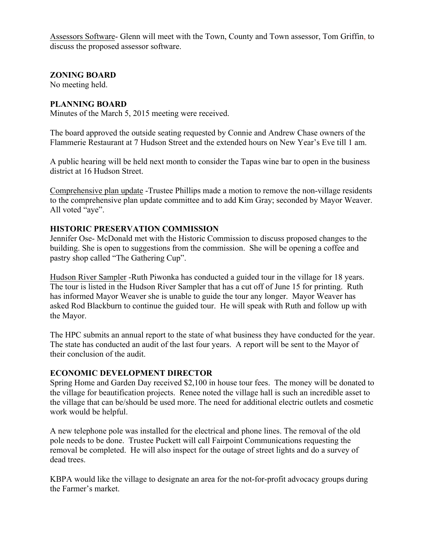Assessors Software- Glenn will meet with the Town, County and Town assessor, Tom Griffin, to discuss the proposed assessor software.

**ZONING BOARD** 

No meeting held.

# **PLANNING BOARD**

Minutes of the March 5, 2015 meeting were received.

The board approved the outside seating requested by Connie and Andrew Chase owners of the Flammerie Restaurant at 7 Hudson Street and the extended hours on New Year's Eve till 1 am.

A public hearing will be held next month to consider the Tapas wine bar to open in the business district at 16 Hudson Street.

Comprehensive plan update -Trustee Phillips made a motion to remove the non-village residents to the comprehensive plan update committee and to add Kim Gray; seconded by Mayor Weaver. All voted "aye".

# **HISTORIC PRESERVATION COMMISSION**

Jennifer Ose- McDonald met with the Historic Commission to discuss proposed changes to the building. She is open to suggestions from the commission. She will be opening a coffee and pastry shop called "The Gathering Cup".

Hudson River Sampler -Ruth Piwonka has conducted a guided tour in the village for 18 years. The tour is listed in the Hudson River Sampler that has a cut off of June 15 for printing. Ruth has informed Mayor Weaver she is unable to guide the tour any longer. Mayor Weaver has asked Rod Blackburn to continue the guided tour. He will speak with Ruth and follow up with the Mayor.

The HPC submits an annual report to the state of what business they have conducted for the year. The state has conducted an audit of the last four years. A report will be sent to the Mayor of their conclusion of the audit.

# **ECONOMIC DEVELOPMENT DIRECTOR**

Spring Home and Garden Day received \$2,100 in house tour fees. The money will be donated to the village for beautification projects. Renee noted the village hall is such an incredible asset to the village that can be/should be used more. The need for additional electric outlets and cosmetic work would be helpful.

A new telephone pole was installed for the electrical and phone lines. The removal of the old pole needs to be done. Trustee Puckett will call Fairpoint Communications requesting the removal be completed. He will also inspect for the outage of street lights and do a survey of dead trees.

KBPA would like the village to designate an area for the not-for-profit advocacy groups during the Farmer's market.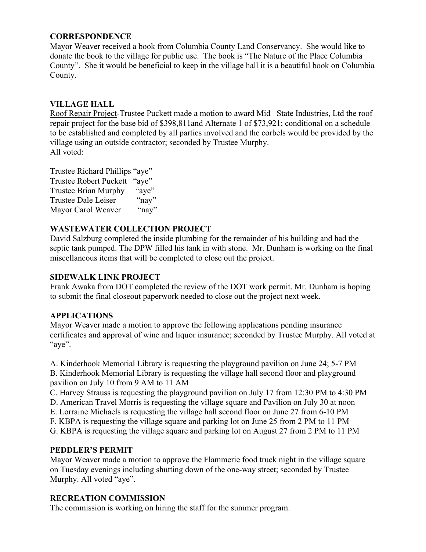# **CORRESPONDENCE**

Mayor Weaver received a book from Columbia County Land Conservancy. She would like to donate the book to the village for public use. The book is "The Nature of the Place Columbia County". She it would be beneficial to keep in the village hall it is a beautiful book on Columbia County.

# **VILLAGE HALL**

Roof Repair Project-Trustee Puckett made a motion to award Mid –State Industries, Ltd the roof repair project for the base bid of \$398,811and Alternate 1 of \$73,921; conditional on a schedule to be established and completed by all parties involved and the corbels would be provided by the village using an outside contractor; seconded by Trustee Murphy. All voted:

Trustee Richard Phillips "aye" Trustee Robert Puckett "aye" Trustee Brian Murphy "aye"<br>Trustee Dale Leiser "nav" Trustee Dale Leiser Mayor Carol Weaver "nay"

# **WASTEWATER COLLECTION PROJECT**

David Salzburg completed the inside plumbing for the remainder of his building and had the septic tank pumped. The DPW filled his tank in with stone. Mr. Dunham is working on the final miscellaneous items that will be completed to close out the project.

#### **SIDEWALK LINK PROJECT**

Frank Awaka from DOT completed the review of the DOT work permit. Mr. Dunham is hoping to submit the final closeout paperwork needed to close out the project next week.

#### **APPLICATIONS**

Mayor Weaver made a motion to approve the following applications pending insurance certificates and approval of wine and liquor insurance; seconded by Trustee Murphy. All voted at "aye".

A. Kinderhook Memorial Library is requesting the playground pavilion on June 24; 5-7 PM B. Kinderhook Memorial Library is requesting the village hall second floor and playground pavilion on July 10 from 9 AM to 11 AM

C. Harvey Strauss is requesting the playground pavilion on July 17 from 12:30 PM to 4:30 PM

D. American Travel Morris is requesting the village square and Pavilion on July 30 at noon

E. Lorraine Michaels is requesting the village hall second floor on June 27 from 6-10 PM

F. KBPA is requesting the village square and parking lot on June 25 from 2 PM to 11 PM

G. KBPA is requesting the village square and parking lot on August 27 from 2 PM to 11 PM

# **PEDDLER'S PERMIT**

Mayor Weaver made a motion to approve the Flammerie food truck night in the village square on Tuesday evenings including shutting down of the one-way street; seconded by Trustee Murphy. All voted "aye".

# **RECREATION COMMISSION**

The commission is working on hiring the staff for the summer program.